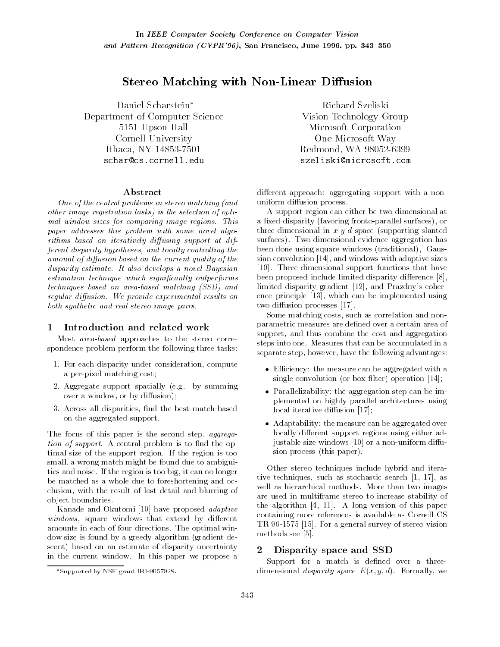# Stereo Matching with Non-Linear Diffusion

Daniel Scharstein\* The Richard Szeliski Department of Computer Science Vision Technology Group Cornell University One Microsoft Way Ithaca, NY 14853-7501 NY Redmondschar@cs.cornell.edu szeliski@microsoft.com

### Abstract

One of the central problems in stereo matching (and other image registration tasks) is the selection of optimal window sizes for comparing image regions. This paper addresses this problem with some novel algo $rithms$  based on iteratively diffusing support at different disparity hypotheses, and locally controlling the amount of diffusion based on the current quality of the disparity estimate. It also develops a novel Bayesian estimation technique which significantly outperforms techniques based on area-based matching SSD and  $regular\ diffusion.$  We provide experimental results on both synthetic and real stereo image pairs

Most *area-based* approaches to the stereo correbased approaches to the stereo correlation of the stereo correlation of the stereo correlation of the stereo c spondence problem perform the following three tasks

- For each disparity under consideration compute a per-pixel matching cost;
- 2. Aggregate support spatially (e.g. by summing over a window, or by diffusion);
- account all disparities in the best matches of the best matches in the base of the base of the base of the base on the aggregated support

The focus of this paper is the second step,  $aggrega$ tion of support. A central problem is to find the optimal size of the support region If the region is too small, a wrong match might be found due to ambiguities and noise. If the region is too big, it can no longer be matched as a whole due to foreshortening and oc clusion with the result of lost detail and blurring of object boundaries

Kanade and Okutomi - have proposed adaptive  $windows$ , square windows that extend by different amounts in each of four directions The optimal win dow size is found by a greedy algorithm gradient de scent) based on an estimate of disparity uncertainty in the current window. In this paper we propose a

5151 Upson Hall Microsoft Corporation

different approach: aggregating support with a nonuniform diffusion process.

A support region can either be two-dimensional at a fixed disparity (favoring fronto-parallel surfaces), or three-dimensional in  $x-y-d$  space (supporting slanted surfaces). Two-dimensional evidence aggregation has been done using square windows (traditional). Gaussian convolution proprietation and with a size with port of the size of - Threedimensional support functions that have been proposed include limited disparity difference  $[8]$ , limited disparity gradient - and Prazdnys coher ence principle and the internal behavior of the internal behavior of the implemented using the implemented usin two diusion processes -

Some matching costs, such as correlation and nonparametric measures are defined over a certain area of support, and thus combine the cost and aggregation steps into one. Measures that can be accumulated in a separate step, however, have the following advantages:

- $\bullet$  Efficiency: the measure can be aggregated with a single convolution , at a six interpretation property of  $\mathbf{r}$
- Parallelizability: the aggregation step can be implemented on highly parallel architectures using local iterative diusion -
- Adaptability: the measure can be aggregated over locally different support regions using either adjustable size windows in project to movement measurements and a nonsion process (this paper).

Other stereo techniques include hybrid and itera tive techniques, where we are constructed as stochastic services as  $\mathbb{R}^n$ well as hierarchical methods. More than two images are used in multiframe stereo to increase stability of the algorithm  -- A long version of this paper containing more references is available as Cornell CS TR - - For a general survey of stereo vision methods see [5].

### $\mathbf 2$ Disparity space and SSD

Support for a match is defined over a threedimensional *disparity space*  $E(x, y, d)$ . Formally, we

Supported by NSF grant IRI-9057928.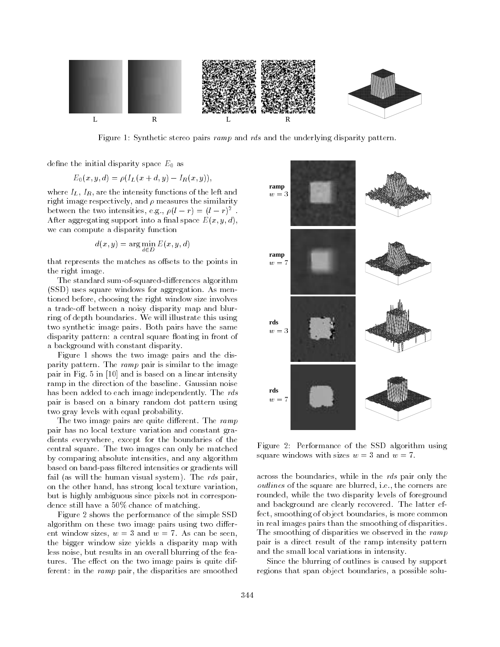

Figure - Synthetic stereo pairs ramp and rds and the underlying disparity pattern

define the initial disparity space  $E_0$  as

$$
E_0(x, y, d) = \rho(I_L(x + d, y) - I_R(x, y)),
$$

where  $I_L$ ,  $I_R$ , are the intensity functions of the left and right image respectively, and  $\rho$  measures the similarity between the two intensities, e.g.,  $\rho(l - r) = (l - r)^2$ . After aggregating support into a final space  $E(x, y, d)$ , we can compute a disparity function

$$
d(x,y)=\arg\min_{d\in D}E(x,y,d)
$$

that represents the matches as offsets to the points in the right image

The standard sum-of-squared-differences algorithm (SSD) uses square windows for aggregation. As mentioned before, choosing the right window size involves a trade-off between a noisy disparity map and blurring of depth boundaries We will illustrate this using two synthetic image pairs Both pairs have the same disparity pattern: a central square floating in front of a background with constant disparity

Figure - shows the two image pairs and the dis parity pattern. The ramp pair is similar to the image pair in Fig. : in fig. mis a linear in the state on a linear intensity. ramp in the direction of the baseline Gaussian noise has been added to each image independently. The rds pair is based on a binary random dot pattern using two gray levels with equal probability

The two image pairs are quite different. The ramp pair has no local texture variation and constant gra dients everywhere, except for the boundaries of the central square. The two images can only be matched by comparing absolute intensities and any algorithm based on band-pass filtered intensities or gradients will fail (as will the human visual system). The rds pair, on the other hand, has strong local texture variation, but is highly ambiguous since pixels not in correspon dence still have a  $50\%$  chance of matching.

Figure 2 shows the performance of the simple SSD algorithm on these two image pairs using two different window sizes when we have seen been been as a seen the bigger window size yields a disparity map with less noise, but results in an overall blurring of the features. The effect on the two image pairs is quite different: in the ramp pair, the disparities are smoothed



Figure 2: Performance of the SSD algorithm using square windows with sizes with sizes we will be and with sizes with sizes with the size of the size of the size

across the boundaries, while in the rds pair only the  $outlines$  of the square are blurred, i.e., the corners are rounded, while the two disparity levels of foreground and background are clearly recovered. The latter effect, smoothing of object boundaries, is more common in real images pairs than the smoothing of disparities The smoothing of disparities we observed in the ramp pair is a direct result of the ramp intensity pattern and the small local variations in intensity

Since the blurring of outlines is caused by support regions that span object boundaries, a possible solu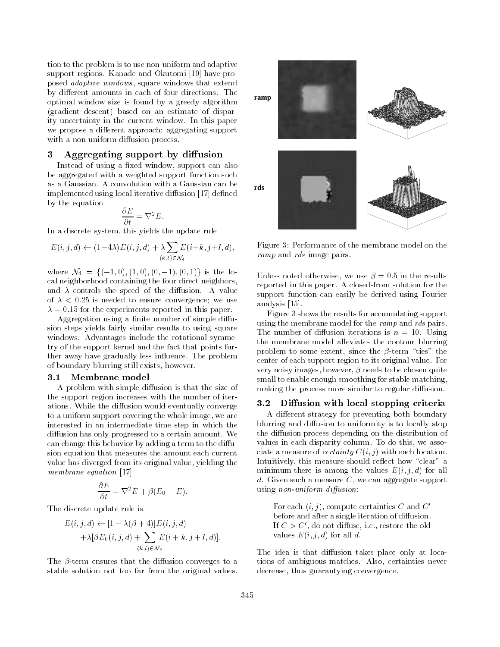tion to the problem is to use non-uniform and adaptive support regions and other regions  $\mathcal{S}$  . The problem of the problem of the problem of the problem of the problem of the problem of the problem of the problem of the problem of the problem of the problem of the problem posed *adaptive windows*, square windows that extend by different amounts in each of four directions. The optimal window size is found by a greedy algorithm (gradient descent) based on an estimate of disparity uncertainty in the current window In this paper we propose a different approach: aggregating support with a non-uniform diffusion process.

### Aggregating support by diffusion 3

Instead of using a fixed window, support can also be aggregated with a weighted support function such as a Gaussian A convolution with a Gaussian can be implemented using local iterative diusion - dened by the equation

$$
\frac{\partial E}{\partial t} = \nabla^2 E.
$$

In a discrete system, this yields the update rule

$$
E(i, j, d) \leftarrow (1-4\lambda) E(i, j, d) + \lambda \sum_{(k,l) \in \mathcal{N}_4} E(i+k, j+l, d),
$$

where  $\mathcal{N}_4 = \{(-1,0), (1,0), (0,-1), (0,1)\}\$ is the local neighborhood containing the four direct neighbors and  $\lambda$  controls the speed of the diffusion. A value of  $\lambda$  < 0.25 is needed to ensure convergence; we use 
- for the experiments reported in this paper

Aggregation using a finite number of simple diffusion steps yields fairly similar results to using square windows Advantages include the rotational symme try of the support kernel and the fact that points fur ther away have gradually less influence. The problem of boundary blurring still exists however

#### $3.1$ Membrane model

A problem with simple diffusion is that the size of the support region increases with the number of iter ations. While the diffusion would eventually converge to a uniform support covering the whole image, we are interested in an intermediate time step in which the diffusion has only progressed to a certain amount. We can change this behavior by adding a term to the diffusion equation that measures the amount each current value has diverged from its original value, yielding the membrane equation -

$$
\frac{\partial E}{\partial t} = \nabla^2 E + \beta (E_0 - E).
$$

The discrete update rule is

$$
E(i, j, d) \leftarrow [1 - \lambda(\beta + 4)]E(i, j, d)
$$
  
+  $\lambda[\beta E_0(i, j, d) + \sum_{(k,l) \in \mathcal{N}_4} E(i + k, j + l, d)].$ 

The  $\beta$ -term ensures that the diffusion converges to a stable solution not too far from the original values



Figure Performance of the membrane model on the ramp and rds image pairs.

Unless noted otherwise, we use  $\beta = 0.5$  in the results reported in this paper. A closed-from solution for the support function can easily be derived using Fourier analysis and the state of the state of the state of the state of the state of the state of the state of the st

 $F_{\rm eff}$  for accumulating support  $F_{\rm eff}$  and  $F_{\rm eff}$  accumulating support  $F_{\rm eff}$ using the membrane model for the ramp and rds pairs. The number of diusion iterations is <sup>n</sup> - Using the membrane model alleviates the contour blurring problem to some extent, since the  $\beta$ -term "ties" the center of each support region to its original value For very noisy images, however,  $\beta$  needs to be chosen quite small to enable enough smoothing for stable matching. making the process more similar to regular diffusion.

### $3.2$ Diffusion with local stopping criteria

A different strategy for preventing both boundary blurring and diffusion to uniformity is to locally stop the diffusion process depending on the distribution of values in each disparity column. To do this, we associate a measure of *certainty*  $C(i, j)$  with each location. Intuitively, this measure should reflect how "clear" a minimum there is among the values  $E(i, j, d)$  for all  $d.$  Given such a measure  $C$ , we can aggregate support using non-matrix non-matrix non-matrix non-matrix non-matrix non-matrix non-matrix non-matrix non-matrix non-m

For each  $(i, j)$ , compute certainties C and  $C'$ before and after a single iteration of diffusion. If  $C > C'$ , do not diffuse, i.e., restore the old values  $E(i, j, d)$  for all d.

The idea is that diffusion takes place only at locations of ambiguous matches. Also, certainties never decrease, thus guarantying convergence.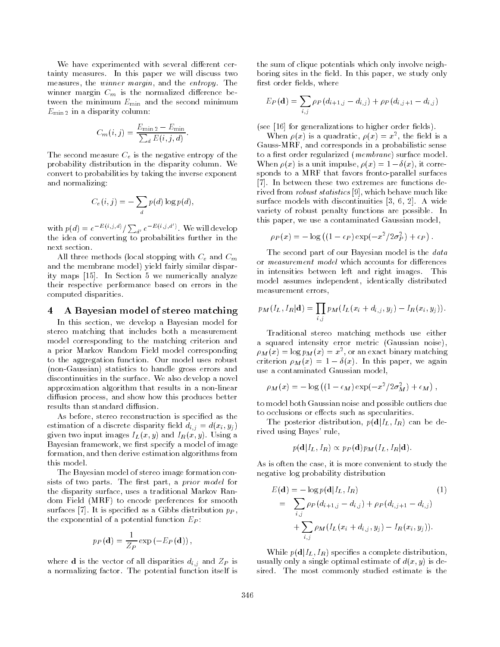We have experimented with several different certainty measures. In this paper we will discuss two measures, the *winner margin*, and the *entropy*. The winner margin  $C_m$  is the normalized difference between the minimum  $E_{\text{min}}$  and the second minimum  $E_{\text{min }2}$  in a disparity column:

$$
C_m(i,j) = \frac{E_{\min 2} - E_{\min}}{\sum_d E(i,j,d)}.
$$

The second measure  $C_e$  is the negative entropy of the probability distribution in the disparity column. We convert to probabilities by taking the inverse exponent and normalizing

$$
C_e(i,j) = -\sum_{d} p(d) \log p(d),
$$

with  $p(d) = e^{-E(i,j,d)} / \sum_{d'} e^{-E(i,j,d')}$ . We will develop the idea of converting to probabilities further in the next section

All three methods (local stopping with  $C_e$  and  $C_m$ and the membrane model) yield fairly similar disparity maps in Section 1. In Section 2. In Section 2. In Section 2. In Section 2. In Section 2. In Section 2. In S their respective performance based on errors in the computed disparities

# A Bayesian model of stereo matching

In this section, we develop a Bayesian model for stereo matching that includes both a measurement model corresponding to the matching criterion and a prior Markov Random Field model corresponding to the aggregation function Our model uses robust (non-Gaussian) statistics to handle gross errors and discontinuities in the surface We also develop a novel approximation algorithm that results in a non-linear diffusion process, and show how this produces better results than standard diffusion.

As before, stereo reconstruction is specified as the estimation of a discrete disparity field  $d_{i,j} = d(x_i, y_j)$ given two input images  $I_L(x, y)$  and  $I_R(x, y)$ . Using a Bayesian framework, we first specify a model of image formation and then derive estimation algorithms from this model

The Bayesian model of stereo image formation con sists of two parts. The first part, a prior model for the disparity surface, uses a traditional Markov Random Field (MRF) to encode preferences for smooth surfaces [7]. It is specified as a Gibbs distribution  $p_P$ , the exponential of a potential function  $E_P$ :

$$
p_P(\mathbf{d}) = \frac{1}{Z_P} \exp(-E_P(\mathbf{d})),
$$

where **d** is the vector of all disparities  $d_{i,j}$  and  $Z_P$  is a normalizing factor. The potential function itself is the sum of clique potentials which only involve neigh boring sites in the field. In this paper, we study only first order fields, where

$$
E_P(\mathbf{d}) = \sum_{i,j} \rho_P(d_{i+1,j} - d_{i,j}) + \rho_P(d_{i,j+1} - d_{i,j})
$$

see - for generalizations to higher order elds 

When  $\rho(x)$  is a quadratic,  $\rho(x) = x^{-}$ , the field is a Gauss-MRF, and corresponds in a probabilistic sense to a first order regularized  $(membrane)$  surface model When  $\rho(x)$  is a unit impulse,  $\rho(x) = 1 - \delta(x)$ , it corresponds to a MRF that favors fronto-parallel surfaces  In between these two extremes are functions de rived from *robust statistics* [9], which behave much like surface models with discontinuities is a global wide. variety of robust penalty functions are possible In this paper, we use a contaminated Gaussian model,

$$
\rho_P(x) = -\log((1 - \epsilon_P) \exp(-x^2/2\sigma_P^2) + \epsilon_P).
$$

The second part of our Bayesian model is the *data* or measurement model which accounts for differences in intensities between left and right images This model assumes independent, identically distributed measurement errors

$$
p_M(I_L, I_R | \mathbf{d}) = \prod_{i,j} p_M(I_L(x_i + d_{i,j}, y_j) - I_R(x_i, y_j)).
$$

Traditional stereo matching methods use either a squared intensity error metric (Gaussian noise).  $\rho_M(x) = \log p_M(x) = x^*$ , or an exact binary matching criterion  $\rho_M(x) = 1 - \delta(x)$ . In this paper, we again use a contaminated Gaussian model

$$
\rho_M(x) = -\log((1 - \epsilon_M) \exp(-x^2/2\sigma_M^2) + \epsilon_M),
$$

to model both Gaussian noise and possible outliers due to occlusions or effects such as specularities.

The posterior distribution,  $p(\mathbf{d}|I_L, I_R)$  can be derived using Bayes' rule,

$$
p(\mathbf{d}|I_L, I_R) \propto p_P(\mathbf{d}) p_M(I_L, I_R|\mathbf{d}).
$$

As is often the case, it is more convenient to study the negative log probability distribution

$$
E(\mathbf{d}) = -\log p(\mathbf{d}|I_L, I_R)
$$
(1)  
= 
$$
\sum_{i,j} \rho_P(d_{i+1,j} - d_{i,j}) + \rho_P(d_{i,j+1} - d_{i,j})
$$
  
+ 
$$
\sum_{i,j} \rho_M(I_L(x_i + d_{i,j}, y_j) - I_R(x_i, y_j)).
$$

While  $p(\mathbf{d}|I_L, I_R)$  specifies a complete distribution, usually only a single optimal estimate of  $d(x, y)$  is desired. The most commonly studied estimate is the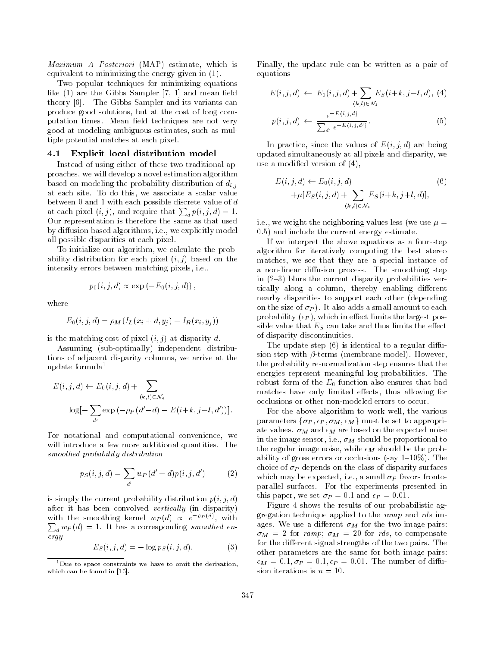Maximum A Posteriori (MAP) estimate, which is equivalent to minimizing the energy given in - 

Two popular techniques for minimizing equations like the Gibbs Sampler of the Gibbs Sampler and mean electronic contracts of the Gibbs Sampler and Manual Comp theory  $[6]$ . The Gibbs Sampler and its variants can produce good solutions, but at the cost of long computation times. Mean field techniques are not very good at modeling ambiguous estimates, such as multiple potential matches at each pixel

### -Explicit local distribution model

Instead of using either of these two traditional ap proaches we will develop a novel estimation algorithm based on modeling the probability distribution of  $d_{i,j}$ at each site. To do this, we associate a scalar value between 
 and - with each possible discrete value of <sup>d</sup> at each pixel  $(i, j)$ , and require that  $\sum_d p(i, j, d) = 1$ . Our representation is therefore the same as that used by diffusion-based algorithms, i.e., we explicitly model all possible disparities at each pixel

To initialize our algorithm, we calculate the probability distribution for each pixel  $(i, j)$  based on the intensity errors between matching pixels, i.e.,

$$
p_0(i, j, d) \propto \exp(-E_0(i, j, d)),
$$

where

$$
E_0(i,j,d) = \rho_M \left( I_L(x_i + d, y_j) - I_R(x_i, y_j) \right)
$$

is the matching cost of pixel  $(i, j)$  at disparity d.

Assuming (sub-optimally) independent distributions of adjacent disparity columns, we arrive at the update formula

$$
E(i, j, d) \leftarrow E_0(i, j, d) + \sum_{(k,l) \in \mathcal{N}_4} \log[-\sum_{d'} \exp(-\rho_P(d'-d) - E(i+k, j+l, d'))].
$$

For notational and computational convenience, we will introduce a few more additional quantities. The smoothed probability distribution

$$
p_S(i, j, d) = \sum_{d'} w_P(d' - d) p(i, j, d')
$$
 (2)

is simply the current probability distribution  $p(i, j, d)$ after it has been convolved vertically (in disparity) with the smoothing kernel  $w_P(d) \propto e^{-\rho_P(d)}$ , with  $\sum_{d} w_{P}(d) = 1$ . It has a corresponding smoothed energy

$$
E_S(i, j, d) = -\log p_S(i, j, d). \tag{3}
$$

Finally, the update rule can be written as a pair of equations

$$
E(i, j, d) \leftarrow E_0(i, j, d) + \sum_{(k,l) \in \mathcal{N}_4} E_S(i+k, j+l, d), (4)
$$

$$
p(i, j, d) \leftarrow \frac{e^{-E(i, j, d)}}{\sum_{d'} e^{-E(i, j, d')}}.
$$
\n(5)

In practice, since the values of  $E(i, j, d)$  are being updated simultaneously at all pixels and disparity we use a modified version of  $(4)$ ,

$$
E(i, j, d) \leftarrow E_0(i, j, d) \tag{6}
$$
  
 
$$
+ \mu[E_S(i, j, d) + \sum_{(k,l) \in \mathcal{N}_4} E_S(i+k, j+l, d)],
$$

i.e., we weight the neighboring values less (we use  $\mu =$  $(0.5)$  and include the current energy estimate.

If we interpret the above equations as a four-step algorithm for iteratively computing the best stereo matches, we see that they are a special instance of a non-linear diffusion process. The smoothing step in the current disparity probabilities vertex of the current disparity probabilities vertex of the current disp tically along a column, thereby enabling different nearby disparities to support each other (depending on the size of  $\sigma_P$ ). It also adds a small amount to each probability <sup>P</sup> which in eect limits the largest pos sible value that  $E<sub>S</sub>$  can take and thus limits the effect of disparity discontinuities

The update step  $(6)$  is identical to a regular diffusion step with  $\beta$ -terms (membrane model). However, the probability re-normalization step ensures that the energies represent meaningful log probabilities. The robust form of the  $E_0$  function also ensures that bad matches have only limited effects, thus allowing for occlusions or other non-modeled errors to occur.

For the above algorithm to work well, the various parameters  $\{\sigma_P, \epsilon_P, \sigma_M, \epsilon_M\}$  must be set to appropriate values on  $M$  are based on the expected noise and the expected noise of  $M$ in the image sensor, i.e.,  $\sigma_M$  should be proportional to the regular image noise while  $M$  showledge the problem ability of gross extern or occupations say a respectively or the same choice of  $\sigma_P$  depends on the class of disparity surfaces which may be expected, i.e., a small  $\sigma_P$  favors frontoparallel surfaces. For the experiments presented in this paper we set a figure when  $\mathcal{L}_1$  and  $\mathcal{L}_2$ 

Figure 4 shows the results of our probabilistic aggregation technique applied to the ramp and rds images. We use a different  $\sigma_M$  for the two image pairs:  $\sigma_M = 2$  for ramp;  $\sigma_M = 20$  for rds, to compensate for the different signal strengths of the two pairs. The other parameters are the same for both image pairs  $\mathbb{P}_{M}$   $\longrightarrow$   $\mathbb{P}_{1}$   $\mathbb{P}_{1}$   $\longrightarrow$   $\mathbb{P}_{1}$   $\longrightarrow$   $\mathbb{P}_{1}$   $\longrightarrow$   $\mathbb{P}_{1}$   $\longrightarrow$   $\mathbb{P}_{1}$   $\longrightarrow$   $\mathbb{P}_{1}$   $\longrightarrow$   $\mathbb{P}_{1}$   $\longrightarrow$   $\mathbb{P}_{1}$   $\longrightarrow$   $\mathbb{P}_{1}$   $\longrightarrow$   $\mathbb{P}_{1}$   $\longrightarrow$   $\mathbb{P}_{1}$   $\longrightarrow$   $\mathbb{P}_{1}$   $\longrightarrow$   $\$ 

<sup>&</sup>lt;sup>1</sup>Due to space constraints we have to omit the derivation, which can be found in [15].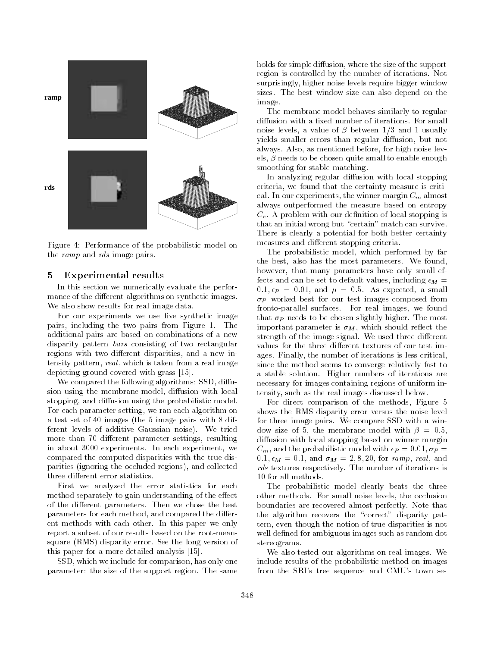

Figure 4. Performance of the probabilistic model on the *ramp* and *rds* image pairs.

#### 5 Experimental results

In this section we numerically evaluate the perfor mance of the different algorithms on synthetic images. We also show results for real image data.

For our experiments we use five synthetic image pairs including the two pairs from Figure - The additional pairs are based on combinations of a new disparity pattern bars consisting of two rectangular regions with two different disparities, and a new intensity pattern, real, which is taken from a real image depicting ground covered with grass provided

We compared the following algorithms: SSD, diffusion using the membrane model, diffusion with local stopping, and diffusion using the probabilistic model. For each parameter setting, we ran each algorithm on a test set of 40 images (the 5 image pairs with 8 different levels of additive Gaussian noise). We tried more than 70 different parameter settings, resulting in about 2008 and 2008 and 2008 and 2008 and 2008 and 2008 and 2008 and 2008 and 2008 and 2008 and 2008 and 20 compared the computed disparities with the true dis parities (ignoring the occluded regions), and collected three different error statistics.

First we analyzed the error statistics for each method separately to gain understanding of the effect of the different parameters. Then we chose the best parameters for each method, and compared the different methods with each other In this paper we only report a subset of our results based on the root-meansquare (RMS) disparity error. See the long version of this paper for any distribution of the more detailed and  $\mathbf{r}$ 

SSD, which we include for comparison, has only one parameter: the size of the support region. The same holds for simple diffusion, where the size of the support region is controlled by the number of iterations Not surprisingly higher noise levels require bigger window sizes The best window size can also depend on the image

The membrane model behaves similarly to regular diffusion with a fixed number of iterations. For small noise levels a value of possessing a different of the second possession of the second possible possible and a yields smaller errors than regular diffusion, but not always. Also, as mentioned before, for high noise levels.  $\beta$  needs to be chosen quite small to enable enough smoothing for stable matching.

In analyzing regular diffusion with local stopping criteria we found that the certainty measure is criti cal. In our experiments, the winner margin  $C_m$  almost always outperformed the measure based on entropy  $C_e$ . A problem with our definition of local stopping is that an initial wrong but "certain" match can survive. There is clearly a potential for both better certainty measures and different stopping criteria.

The probabilistic model, which performed by far the best, also has the most parameters. We found, however, that many parameters have only small effects and can be set to default values including <sup>M</sup>  $\mathbf{v} \cdot \mathbf{r} = \mathbf{v} \cdot \mathbf{v} \cdot \mathbf{r}$ , which  $\mathbf{\mu} = \mathbf{v} \cdot \mathbf{v}$ , the expected, a small  $\sigma_P$  worked best for our test images composed from fronto-parallel surfaces. For real images, we found that  $\sigma_P$  needs to be chosen slightly higher. The most important parameter is  $\sigma_M$ , which should reflect the strength of the image signal. We used three different values for the three different textures of our test images. Finally, the number of iterations is less critical, since the method seems to converge relatively fast to a stable solution. Higher numbers of iterations are necessary for images containing regions of uniform in tensity, such as the real images discussed below.

For direct comparison of the methods, Figure 5 shows the RMS disparity error versus the noise level for three image pairs We compare SSD with a win dow size of 5, the membrane model with  $\beta = 0.5$ , diffusion with local stopping based on winner margin  $\sim$   $m_1$  and the probabilistic model with  $\epsilon_T$  and  $\epsilon_T$  $\mathbf{w} \cdot \mathbf{r} \cdot \mathbf{w} = \mathbf{w} \cdot \mathbf{r} \cdot \mathbf{w}$  and  $\mathbf{w} \cdot \mathbf{w} = \mathbf{r} \cdot \mathbf{w} \cdot \mathbf{r} \cdot \mathbf{w}$ rds textures respectively. The number of iterations is

The probabilistic model clearly beats the three other methods. For small noise levels, the occlusion boundaries are recovered almost perfectly Note that the algorithm recovers the "correct" disparity pattern, even though the notion of true disparities is not well defined for ambiguous images such as random dot stereograms

We also tested our algorithms on real images. We include results of the probabilistic method on images from the SRI's tree sequence and CMU's town se-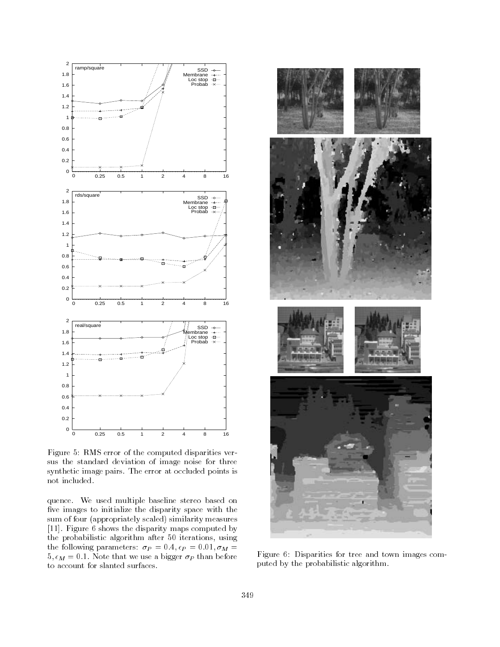

Figure 5: RMS error of the computed disparities versus the standard deviation of image noise for three synthetic image pairs. The error at occluded points is not included

quence We used multiple baseline stereo based on five images to initialize the disparity space with the sum of four (appropriately scaled) similarity measures -- Figure shows the disparity maps computed by the probabilistic algorithm after 50 iterations, using the following parameters P <sup>P</sup> 

- M  $\mathcal{O}_1$   $\mathcal{O}_M$   $\mathcal{O}_2$  . The set of the set of the form before that  $\mathcal{O}_3$  is a bigger of  $\mathcal{O}_4$ to account for slanted surfaces



Figure 6: Disparities for tree and town images computed by the probabilistic algorithm